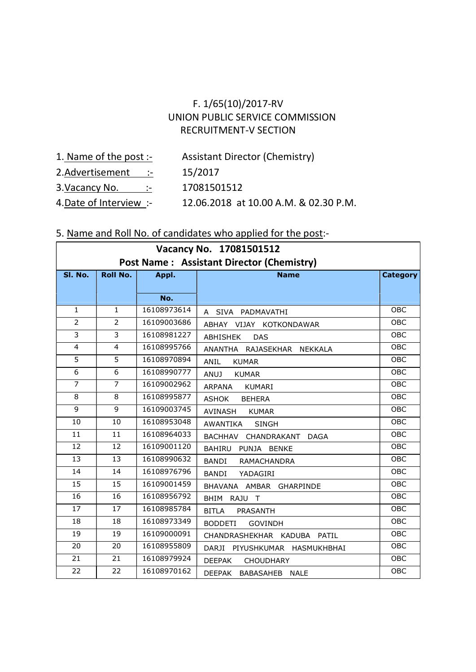# F. 1/65(10)/2017-RV UNION PUBLIC SERVICE COMMISSION RECRUITMENT-V SECTION

- 1. Name of the post :- Assistant Director (Chemistry)
- 2.Advertisement :- 15/2017
- 3. Vacancy No. :- 17081501512
- 4.Date of Interview :- 12.06.2018 at 10.00 A.M. & 02.30 P.M.

#### 5. Name and Roll No. of candidates who applied for the post:-

| Vacancy No. 17081501512                          |                 |             |                                                   |                 |  |  |  |  |  |
|--------------------------------------------------|-----------------|-------------|---------------------------------------------------|-----------------|--|--|--|--|--|
| <b>Post Name: Assistant Director (Chemistry)</b> |                 |             |                                                   |                 |  |  |  |  |  |
| SI. No.                                          | <b>Roll No.</b> | Appl.       | <b>Name</b>                                       | <b>Category</b> |  |  |  |  |  |
|                                                  |                 |             |                                                   |                 |  |  |  |  |  |
|                                                  |                 | No.         |                                                   |                 |  |  |  |  |  |
| $\mathbf{1}$                                     | $\mathbf{1}$    | 16108973614 | SIVA PADMAVATHI<br>A                              | <b>OBC</b>      |  |  |  |  |  |
| $\overline{2}$                                   | $\overline{2}$  | 16109003686 | ABHAY VIJAY KOTKONDAWAR                           | <b>OBC</b>      |  |  |  |  |  |
| 3                                                | 3               | 16108981227 | ABHISHEK<br><b>DAS</b>                            | <b>OBC</b>      |  |  |  |  |  |
| $\overline{4}$                                   | 4               | 16108995766 | ANANTHA RAJASEKHAR<br><b>NEKKALA</b>              | <b>OBC</b>      |  |  |  |  |  |
| 5                                                | 5               | 16108970894 | <b>ANIL</b><br><b>KUMAR</b>                       | OBC             |  |  |  |  |  |
| 6                                                | 6               | 16108990777 | <b>ANUJ</b><br><b>KUMAR</b>                       | OBC             |  |  |  |  |  |
| $\overline{7}$                                   | $\overline{7}$  | 16109002962 | <b>KUMARI</b><br><b>ARPANA</b>                    | <b>OBC</b>      |  |  |  |  |  |
| 8                                                | 8               | 16108995877 | <b>ASHOK</b><br><b>BEHERA</b>                     | OBC             |  |  |  |  |  |
| 9                                                | 9               | 16109003745 | AVINASH<br><b>KUMAR</b>                           | <b>OBC</b>      |  |  |  |  |  |
| 10                                               | 10              | 16108953048 | AWANTIKA<br><b>SINGH</b>                          | OBC             |  |  |  |  |  |
| 11                                               | 11              | 16108964033 | BACHHAV<br>CHANDRAKANT<br><b>DAGA</b>             | OBC             |  |  |  |  |  |
| 12                                               | 12              | 16109001120 | BAHIRU<br>PUNJA<br><b>BENKE</b>                   | <b>OBC</b>      |  |  |  |  |  |
| 13                                               | 13              | 16108990632 | <b>BANDI</b><br><b>RAMACHANDRA</b>                | <b>OBC</b>      |  |  |  |  |  |
| 14                                               | 14              | 16108976796 | <b>BANDI</b><br>YADAGIRI                          | <b>OBC</b>      |  |  |  |  |  |
| 15                                               | 15              | 16109001459 | AMBAR GHARPINDE<br><b>BHAVANA</b>                 | <b>OBC</b>      |  |  |  |  |  |
| 16                                               | 16              | 16108956792 | BHIM RAJU<br>$\top$                               | <b>OBC</b>      |  |  |  |  |  |
| 17                                               | 17              | 16108985784 | <b>BITLA</b><br>PRASANTH                          | <b>OBC</b>      |  |  |  |  |  |
| 18                                               | 18              | 16108973349 | <b>BODDETI</b><br><b>GOVINDH</b>                  | <b>OBC</b>      |  |  |  |  |  |
| 19                                               | 19              | 16109000091 | CHANDRASHEKHAR<br><b>KADUBA</b><br>PATIL          | <b>OBC</b>      |  |  |  |  |  |
| 20                                               | 20              | 16108955809 | PIYUSHKUMAR<br><b>DARJI</b><br><b>HASMUKHBHAI</b> | <b>OBC</b>      |  |  |  |  |  |
| 21                                               | 21              | 16108979924 | <b>DEEPAK</b><br><b>CHOUDHARY</b>                 | OBC             |  |  |  |  |  |
| 22                                               | 22              | 16108970162 | BABASAHEB NALE<br>DEEPAK                          | <b>OBC</b>      |  |  |  |  |  |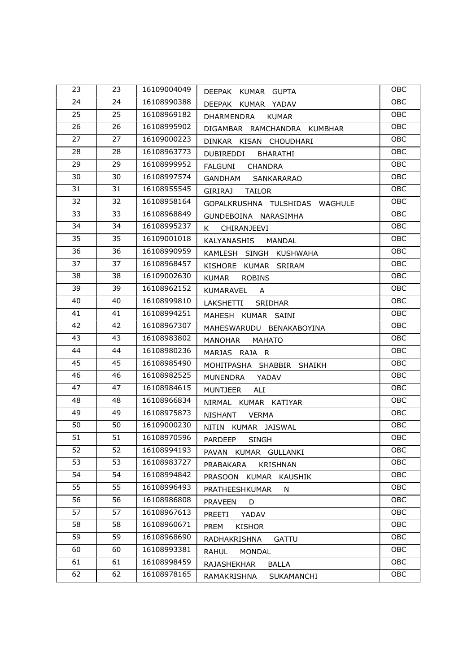| 23              | 23 | 16109004049 | DEEPAK KUMAR GUPTA                        | OBC        |  |  |
|-----------------|----|-------------|-------------------------------------------|------------|--|--|
| 24              | 24 | 16108990388 | DEEPAK KUMAR YADAV                        | <b>OBC</b> |  |  |
| 25              | 25 | 16108969182 | <b>DHARMENDRA</b><br><b>KUMAR</b>         | OBC        |  |  |
| 26              | 26 | 16108995902 | DIGAMBAR<br>RAMCHANDRA KUMBHAR            | OBC        |  |  |
| 27              | 27 | 16109000223 | DINKAR KISAN CHOUDHARI                    | OBC        |  |  |
| 28              | 28 | 16108963773 | DUBIREDDI<br><b>BHARATHI</b>              | OBC        |  |  |
| 29              | 29 | 16108999952 | FALGUNI<br><b>CHANDRA</b>                 | OBC        |  |  |
| 30              | 30 | 16108997574 | GANDHAM<br>SANKARARAO                     | OBC        |  |  |
| 31              | 31 | 16108955545 | <b>GIRIRAJ</b><br><b>TAILOR</b>           | OBC        |  |  |
| 32              | 32 | 16108958164 | GOPALKRUSHNA TULSHIDAS WAGHULE            | OBC        |  |  |
| 33              | 33 | 16108968849 | GUNDEBOINA NARASIMHA                      | OBC        |  |  |
| 34              | 34 | 16108995237 | K<br>CHIRANJEEVI                          | OBC        |  |  |
| 35              | 35 | 16109001018 | <b>KALYANASHIS</b><br><b>MANDAL</b>       | OBC        |  |  |
| 36              | 36 | 16108990959 | KAMLESH SINGH KUSHWAHA                    | OBC        |  |  |
| $\overline{37}$ | 37 | 16108968457 | KISHORE KUMAR SRIRAM                      | OBC        |  |  |
| 38              | 38 | 16109002630 | <b>KUMAR</b><br><b>ROBINS</b>             | OBC        |  |  |
| 39              | 39 | 16108962152 | KUMARAVEL<br>A                            | OBC        |  |  |
| 40              | 40 | 16108999810 | LAKSHETTI<br><b>SRIDHAR</b>               | OBC        |  |  |
| 41              | 41 | 16108994251 | MAHESH KUMAR SAINI                        | OBC        |  |  |
| 42              | 42 | 16108967307 | MAHESWARUDU BENAKABOYINA                  | OBC        |  |  |
| 43              | 43 | 16108983802 | <b>MANOHAR</b><br><b>MAHATO</b>           | OBC        |  |  |
| 44              | 44 | 16108980236 | MARJAS RAJA R                             | OBC        |  |  |
| 45              | 45 | 16108985490 | MOHITPASHA SHABBIR SHAIKH                 | OBC        |  |  |
| 46              | 46 | 16108982525 | MUNENDRA<br>YADAV                         | OBC        |  |  |
| 47              | 47 | 16108984615 | <b>MUNTJEER</b><br><b>ALI</b>             | OBC        |  |  |
| 48              | 48 | 16108966834 | NIRMAL KUMAR KATIYAR                      | OBC        |  |  |
| 49              | 49 | 16108975873 | <b>NISHANT</b><br><b>VERMA</b>            | OBC        |  |  |
| 50              | 50 | 16109000230 | NITIN KUMAR JAISWAL                       | OBC        |  |  |
| 51              | 51 | 16108970596 | PARDEEP<br><b>SINGH</b>                   | OBC        |  |  |
| 52              | 52 | 16108994193 | PAVAN<br>KUMAR GULLANKI                   | OBC        |  |  |
| 53              | 53 | 16108983727 | PRABAKARA<br>KRISHNAN                     | OBC        |  |  |
| 54              | 54 | 16108994842 | PRASOON<br>KUMAR<br>KAUSHIK               | OBC        |  |  |
| 55              | 55 | 16108996493 | PRATHEESHKUMAR<br>N                       | OBC        |  |  |
| 56              | 56 | 16108986808 | <b>PRAVEEN</b><br>D                       | OBC        |  |  |
| 57              | 57 | 16108967613 | PREETI<br>YADAV                           | OBC        |  |  |
| 58              | 58 | 16108960671 | PREM<br><b>KISHOR</b>                     | OBC        |  |  |
| 59              | 59 | 16108968690 | RADHAKRISHNA<br><b>GATTU</b>              |            |  |  |
| 60              | 60 | 16108993381 | OBC<br>RAHUL<br>MONDAL                    |            |  |  |
| 61              | 61 | 16108998459 | <b>OBC</b><br>RAJASHEKHAR<br><b>BALLA</b> |            |  |  |
| 62              | 62 | 16108978165 | RAMAKRISHNA<br>SUKAMANCHI                 | OBC        |  |  |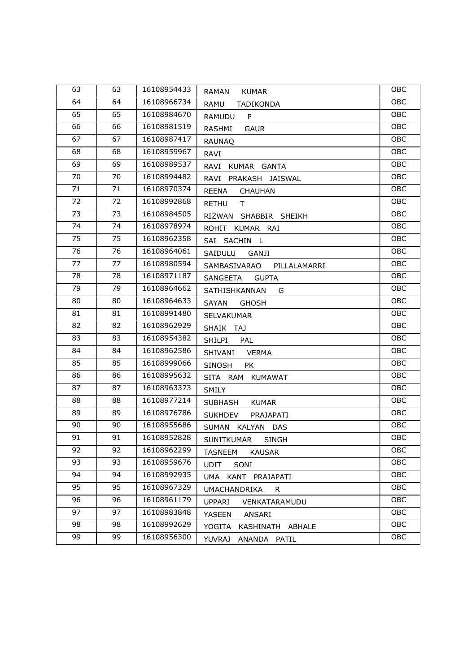| 63 | 63 | 16108954433 | <b>KUMAR</b><br><b>RAMAN</b>          | OBC        |  |  |
|----|----|-------------|---------------------------------------|------------|--|--|
| 64 | 64 | 16108966734 | RAMU<br>TADIKONDA                     | OBC        |  |  |
| 65 | 65 | 16108984670 | RAMUDU<br>P                           | OBC        |  |  |
| 66 | 66 | 16108981519 | <b>GAUR</b><br>RASHMI                 | OBC        |  |  |
| 67 | 67 | 16108987417 | <b>RAUNAQ</b>                         | OBC        |  |  |
| 68 | 68 | 16108959967 | <b>RAVI</b>                           | OBC        |  |  |
| 69 | 69 | 16108989537 | RAVI<br>KUMAR GANTA                   | OBC        |  |  |
| 70 | 70 | 16108994482 | RAVI<br>PRAKASH JAISWAL               | OBC        |  |  |
| 71 | 71 | 16108970374 | <b>REENA</b><br><b>CHAUHAN</b>        | OBC        |  |  |
| 72 | 72 | 16108992868 | <b>RETHU</b><br>T.                    | OBC        |  |  |
| 73 | 73 | 16108984505 | RIZWAN SHABBIR SHEIKH                 | OBC        |  |  |
| 74 | 74 | 16108978974 | ROHIT KUMAR RAI                       | OBC        |  |  |
| 75 | 75 | 16108962358 | SAI SACHIN L                          | OBC        |  |  |
| 76 | 76 | 16108964061 | SAIDULU<br><b>GANJI</b>               | OBC        |  |  |
| 77 | 77 | 16108980594 | SAMBASIVARAO<br>PILLALAMARRI          | OBC        |  |  |
| 78 | 78 | 16108971187 | <b>GUPTA</b><br>SANGEETA              | OBC        |  |  |
| 79 | 79 | 16108964662 | SATHISHKANNAN<br>G                    | OBC        |  |  |
| 80 | 80 | 16108964633 | <b>SAYAN</b><br><b>GHOSH</b>          | OBC        |  |  |
| 81 | 81 | 16108991480 | SELVAKUMAR                            | OBC        |  |  |
| 82 | 82 | 16108962929 | SHAIK TAJ                             | OBC        |  |  |
| 83 | 83 | 16108954382 | <b>SHILPI</b><br>PAL                  | OBC        |  |  |
| 84 | 84 | 16108962586 | SHIVANI<br><b>VERMA</b>               | OBC        |  |  |
| 85 | 85 | 16108999066 | <b>SINOSH</b><br><b>PK</b>            | OBC        |  |  |
| 86 | 86 | 16108995632 | SITA RAM KUMAWAT                      | OBC        |  |  |
| 87 | 87 | 16108963373 | SMILY                                 | OBC        |  |  |
| 88 | 88 | 16108977214 | <b>KUMAR</b><br>SUBHASH               | OBC        |  |  |
| 89 | 89 | 16108976786 | <b>SUKHDEV</b><br>PRAJAPATI           | OBC        |  |  |
| 90 | 90 | 16108955686 | SUMAN KALYAN DAS                      | OBC        |  |  |
| 91 | 91 | 16108952828 | SUNITKUMAR<br><b>SINGH</b>            | OBC        |  |  |
| 92 | 92 | 16108962299 | <b>TASNEEM</b><br><b>KAUSAR</b>       | OBC        |  |  |
| 93 | 93 | 16108959676 | UDIT<br>SONI                          | OBC        |  |  |
| 94 | 94 | 16108992935 | UMA<br>KANT PRAJAPATI                 | OBC<br>OBC |  |  |
| 95 | 95 | 16108967329 | <b>UMACHANDRIKA</b><br>R              |            |  |  |
| 96 | 96 | 16108961179 | OBC<br><b>UPPARI</b><br>VENKATARAMUDU |            |  |  |
| 97 | 97 | 16108983848 | OBC<br>YASEEN<br>ANSARI               |            |  |  |
| 98 | 98 | 16108992629 | OBC<br>YOGITA<br>KASHINATH ABHALE     |            |  |  |
| 99 | 99 | 16108956300 | <b>YUVRAJ</b><br>ANANDA PATIL         | OBC        |  |  |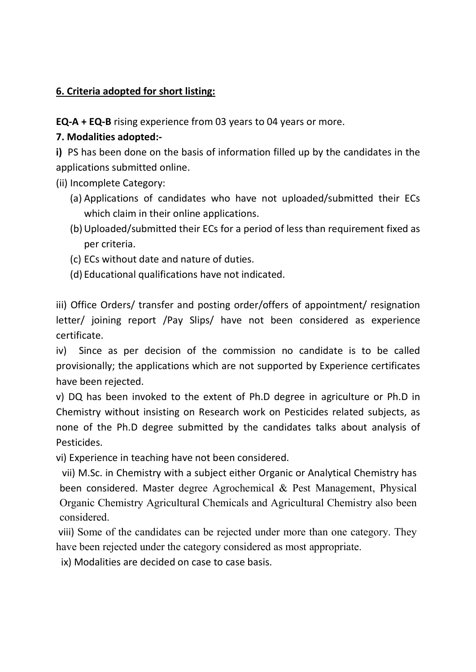### 6. Criteria adopted for short listing:

EQ-A + EQ-B rising experience from 03 years to 04 years or more.

# 7. Modalities adopted:-

i) PS has been done on the basis of information filled up by the candidates in the applications submitted online.

- (ii) Incomplete Category:
	- (a) Applications of candidates who have not uploaded/submitted their ECs which claim in their online applications.
	- (b)Uploaded/submitted their ECs for a period of less than requirement fixed as per criteria.
	- (c) ECs without date and nature of duties.
	- (d) Educational qualifications have not indicated.

iii) Office Orders/ transfer and posting order/offers of appointment/ resignation letter/ joining report /Pay Slips/ have not been considered as experience certificate.

iv) Since as per decision of the commission no candidate is to be called provisionally; the applications which are not supported by Experience certificates have been rejected.

v) DQ has been invoked to the extent of Ph.D degree in agriculture or Ph.D in Chemistry without insisting on Research work on Pesticides related subjects, as none of the Ph.D degree submitted by the candidates talks about analysis of Pesticides.

vi) Experience in teaching have not been considered.

 vii) M.Sc. in Chemistry with a subject either Organic or Analytical Chemistry has been considered. Master degree Agrochemical & Pest Management, Physical Organic Chemistry Agricultural Chemicals and Agricultural Chemistry also been considered.

 viii) Some of the candidates can be rejected under more than one category. They have been rejected under the category considered as most appropriate.

ix) Modalities are decided on case to case basis.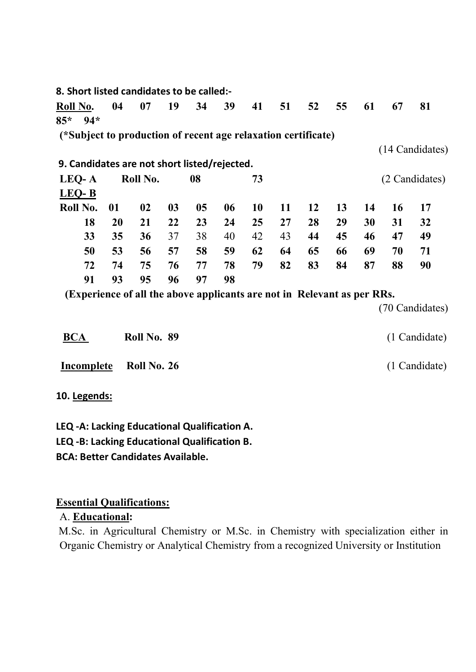| 8. Short listed candidates to be called:-                               |           |             |                |    |    |    |    |    |    |    |    |                 |
|-------------------------------------------------------------------------|-----------|-------------|----------------|----|----|----|----|----|----|----|----|-----------------|
| Roll No.                                                                | 04        | 07          | 19             | 34 | 39 | 41 | 51 | 52 | 55 | 61 | 67 | 81              |
| $85*$<br>$94*$                                                          |           |             |                |    |    |    |    |    |    |    |    |                 |
| (*Subject to production of recent age relaxation certificate)           |           |             |                |    |    |    |    |    |    |    |    |                 |
|                                                                         |           |             |                |    |    |    |    |    |    |    |    | (14 Candidates) |
| 9. Candidates are not short listed/rejected.                            |           |             |                |    |    |    |    |    |    |    |    |                 |
| LEQ-A                                                                   |           | Roll No.    |                | 08 |    | 73 |    |    |    |    |    | (2 Candidates)  |
| LEQ-B                                                                   |           |             |                |    |    |    |    |    |    |    |    |                 |
| Roll No.                                                                | 01        | 02          | 0 <sub>3</sub> | 05 | 06 | 10 | 11 | 12 | 13 | 14 | 16 | 17              |
| 18                                                                      | <b>20</b> | 21          | 22             | 23 | 24 | 25 | 27 | 28 | 29 | 30 | 31 | 32              |
| 33                                                                      | 35        | 36          | 37             | 38 | 40 | 42 | 43 | 44 | 45 | 46 | 47 | 49              |
| 50                                                                      | 53        | 56          | 57             | 58 | 59 | 62 | 64 | 65 | 66 | 69 | 70 | 71              |
| 72                                                                      | 74        | 75          | 76             | 77 | 78 | 79 | 82 | 83 | 84 | 87 | 88 | 90              |
| 91                                                                      | 93        | 95          | 96             | 97 | 98 |    |    |    |    |    |    |                 |
| (Experience of all the above applicants are not in Relevant as per RRs. |           |             |                |    |    |    |    |    |    |    |    |                 |
|                                                                         |           |             |                |    |    |    |    |    |    |    |    | (70 Candidates) |
| <b>BCA</b>                                                              |           | Roll No. 89 |                |    |    |    |    |    |    |    |    | (1 Candidate)   |

| Incomplete Roll No. 26 |  | (1 Candidate) |
|------------------------|--|---------------|

10. Legends:

LEQ -A: Lacking Educational Qualification A. LEQ -B: Lacking Educational Qualification B. BCA: Better Candidates Available.

# Essential Qualifications:

A. Educational:

 M.Sc. in Agricultural Chemistry or M.Sc. in Chemistry with specialization either in Organic Chemistry or Analytical Chemistry from a recognized University or Institution